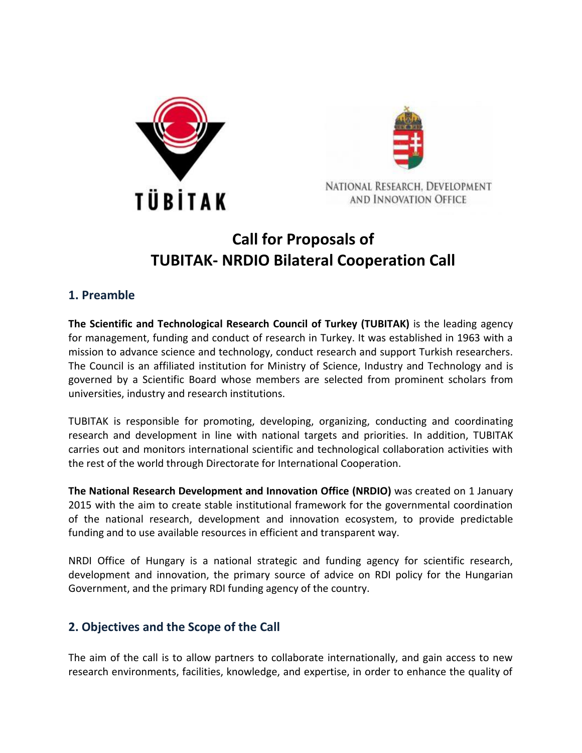



# **Call for Proposals of TUBITAK- NRDIO Bilateral Cooperation Call**

### **1. Preamble**

**The Scientific and Technological Research Council of Turkey (TUBITAK)** is the leading agency for management, funding and conduct of research in Turkey. It was established in 1963 with a mission to advance science and technology, conduct research and support Turkish researchers. The Council is an affiliated institution for Ministry of Science, Industry and Technology and is governed by a Scientific Board whose members are selected from prominent scholars from universities, industry and research institutions.

TUBITAK is responsible for promoting, developing, organizing, conducting and coordinating research and development in line with national targets and priorities. In addition, TUBITAK carries out and monitors international scientific and technological collaboration activities with the rest of the world through Directorate for International Cooperation.

**The National Research Development and Innovation Office (NRDIO)** was created on 1 January 2015 with the aim to create stable institutional framework for the governmental coordination of the national research, development and innovation ecosystem, to provide predictable funding and to use available resources in efficient and transparent way.

NRDI Office of Hungary is a national strategic and funding agency for scientific research, development and innovation, the primary source of advice on RDI policy for the Hungarian Government, and the primary RDI funding agency of the country.

### **2. Objectives and the Scope of the Call**

The aim of the call is to allow partners to collaborate internationally, and gain access to new research environments, facilities, knowledge, and expertise, in order to enhance the quality of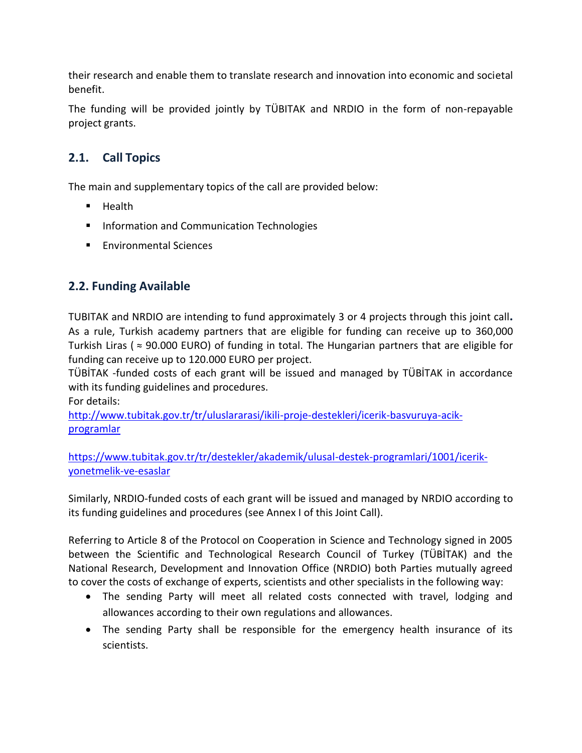their research and enable them to translate research and innovation into economic and societal benefit.

The funding will be provided jointly by TÜBITAK and NRDIO in the form of non-repayable project grants.

## **2.1. Call Topics**

The main and supplementary topics of the call are provided below:

- $H$  Health
- **Information and Communication Technologies**
- Environmental Sciences

### **2.2. Funding Available**

TUBITAK and NRDIO are intending to fund approximately 3 or 4 projects through this joint call**.**  As a rule, Turkish academy partners that are eligible for funding can receive up to 360,000 Turkish Liras ( $\approx$  90.000 EURO) of funding in total. The Hungarian partners that are eligible for funding can receive up to 120.000 EURO per project.

TÜBİTAK -funded costs of each grant will be issued and managed by TÜBİTAK in accordance with its funding guidelines and procedures.

For details:

[http://www.tubitak.gov.tr/tr/uluslararasi/ikili-proje-destekleri/icerik-basvuruya-acik](http://www.tubitak.gov.tr/tr/uluslararasi/ikili-proje-destekleri/icerik-basvuruya-acik-programlar)[programlar](http://www.tubitak.gov.tr/tr/uluslararasi/ikili-proje-destekleri/icerik-basvuruya-acik-programlar)

[https://www.tubitak.gov.tr/tr/destekler/akademik/ulusal-destek-programlari/1001/icerik](https://www.tubitak.gov.tr/tr/destekler/akademik/ulusal-destek-programlari/1001/icerik-yonetmelik-ve-esaslar)[yonetmelik-ve-esaslar](https://www.tubitak.gov.tr/tr/destekler/akademik/ulusal-destek-programlari/1001/icerik-yonetmelik-ve-esaslar)

Similarly, NRDIO-funded costs of each grant will be issued and managed by NRDIO according to its funding guidelines and procedures (see Annex I of this Joint Call).

Referring to Article 8 of the Protocol on Cooperation in Science and Technology signed in 2005 between the Scientific and Technological Research Council of Turkey (TÜBİTAK) and the National Research, Development and Innovation Office (NRDIO) both Parties mutually agreed to cover the costs of exchange of experts, scientists and other specialists in the following way:

- The sending Party will meet all related costs connected with travel, lodging and allowances according to their own regulations and allowances.
- The sending Party shall be responsible for the emergency health insurance of its scientists.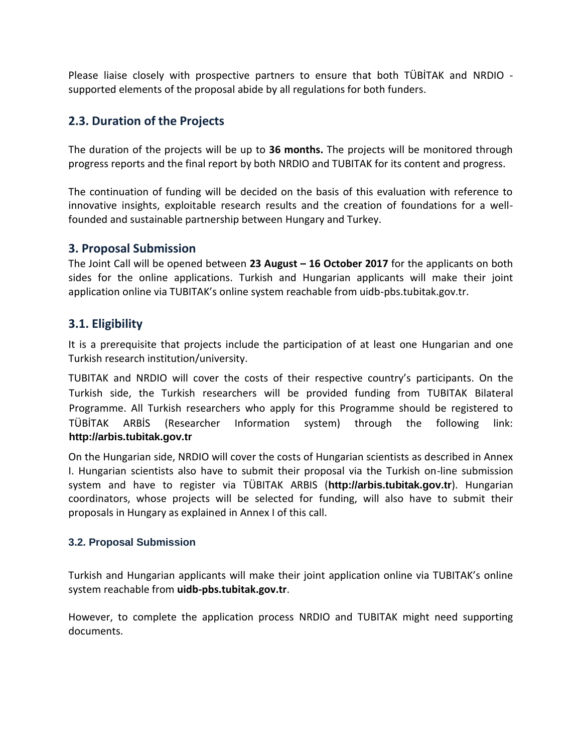Please liaise closely with prospective partners to ensure that both TÜBİTAK and NRDIO supported elements of the proposal abide by all regulations for both funders.

### **2.3. Duration of the Projects**

The duration of the projects will be up to **36 months.** The projects will be monitored through progress reports and the final report by both NRDIO and TUBITAK for its content and progress.

The continuation of funding will be decided on the basis of this evaluation with reference to innovative insights, exploitable research results and the creation of foundations for a wellfounded and sustainable partnership between Hungary and Turkey.

#### **3. Proposal Submission**

The Joint Call will be opened between **23 August – 16 October 2017** for the applicants on both sides for the online applications. Turkish and Hungarian applicants will make their joint application online via TUBITAK's online system reachable from uidb-pbs.tubitak.gov.tr.

### **3.1. Eligibility**

It is a prerequisite that projects include the participation of at least one Hungarian and one Turkish research institution/university.

TUBITAK and NRDIO will cover the costs of their respective country's participants. On the Turkish side, the Turkish researchers will be provided funding from TUBITAK Bilateral Programme. All Turkish researchers who apply for this Programme should be registered to TÜBİTAK ARBİS (Researcher Information system) through the following link: **[http://arbis.tubitak.gov.tr](http://arbis.tubitak.gov.tr/)**

On the Hungarian side, NRDIO will cover the costs of Hungarian scientists as described in Annex I. Hungarian scientists also have to submit their proposal via the Turkish on-line submission system and have to register via TÜBITAK ARBIS (**[http://arbis.tubitak.gov.tr](http://arbis.tubitak.gov.tr/)**). Hungarian coordinators, whose projects will be selected for funding, will also have to submit their proposals in Hungary as explained in Annex I of this call.

#### **3.2. Proposal Submission**

Turkish and Hungarian applicants will make their joint application online via TUBITAK's online system reachable from **uidb-pbs.tubitak.gov.tr**.

However, to complete the application process NRDIO and TUBITAK might need supporting documents.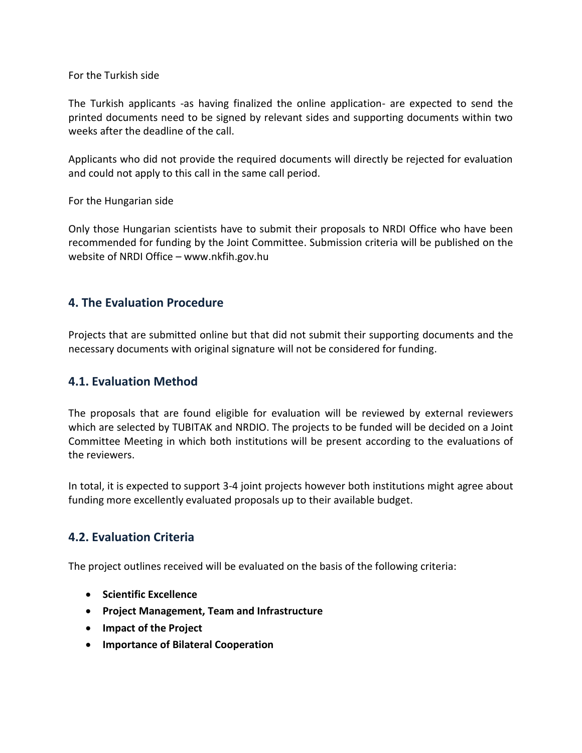For the Turkish side

The Turkish applicants -as having finalized the online application- are expected to send the printed documents need to be signed by relevant sides and supporting documents within two weeks after the deadline of the call.

Applicants who did not provide the required documents will directly be rejected for evaluation and could not apply to this call in the same call period.

For the Hungarian side

Only those Hungarian scientists have to submit their proposals to NRDI Office who have been recommended for funding by the Joint Committee. Submission criteria will be published on the website of NRDI Office – www.nkfih.gov.hu

#### **4. The Evaluation Procedure**

Projects that are submitted online but that did not submit their supporting documents and the necessary documents with original signature will not be considered for funding.

#### **4.1. Evaluation Method**

The proposals that are found eligible for evaluation will be reviewed by external reviewers which are selected by TUBITAK and NRDIO. The projects to be funded will be decided on a Joint Committee Meeting in which both institutions will be present according to the evaluations of the reviewers.

In total, it is expected to support 3-4 joint projects however both institutions might agree about funding more excellently evaluated proposals up to their available budget.

### **4.2. Evaluation Criteria**

The project outlines received will be evaluated on the basis of the following criteria:

- **•** Scientific Excellence
- **Project Management, Team and Infrastructure**
- **Impact of the Project**
- **Importance of Bilateral Cooperation**